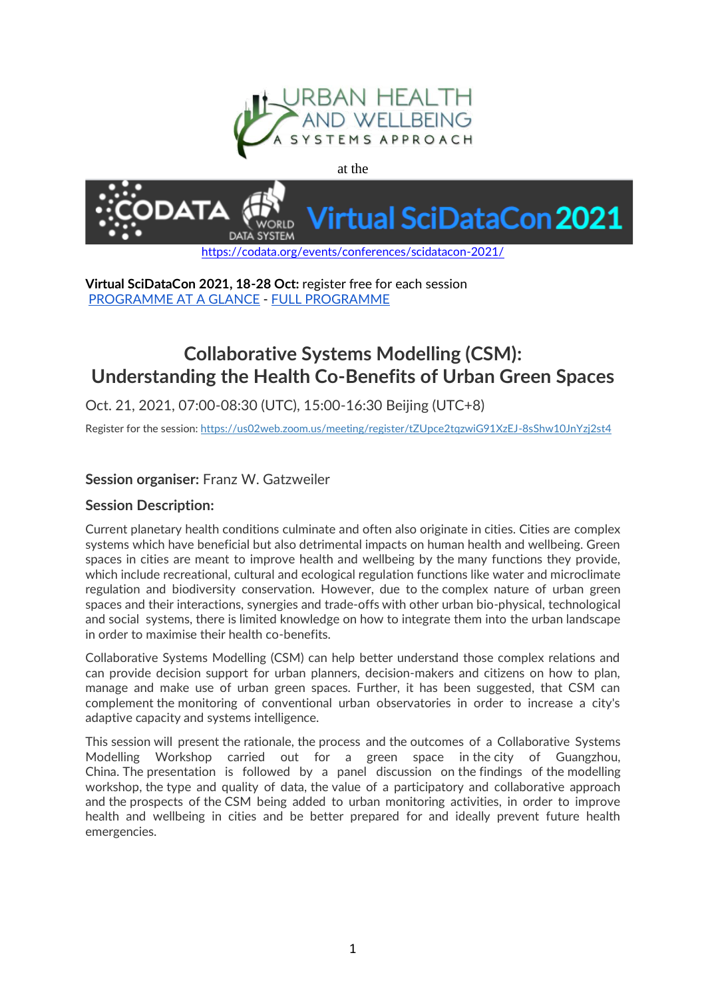

at the



**Virtual SciDataCon 2021, 18-28 Oct:** register free for each session [PROGRAMME AT A GLANCE](https://codata.org/wp-content/uploads/2021/09/SciDataCon2021-Programme_Registration.pdf) - [FULL PROGRAMME](https://www.scidatacon.org/virtual-2021/programme/)

## **Collaborative Systems Modelling (CSM): Understanding the Health Co-Benefits of Urban Green Spaces**

Oct. 21, 2021, 07:00-08:30 (UTC), 15:00-16:30 Beijing (UTC+8)

Register for the session: <https://us02web.zoom.us/meeting/register/tZUpce2tqzwiG91XzEJ-8sShw10JnYzj2st4>

## **Session organiser:** Franz W. Gatzweiler

## **Session Description:**

Current planetary health conditions culminate and often also originate in cities. Cities are complex systems which have beneficial but also detrimental impacts on human health and wellbeing. Green spaces in cities are meant to improve health and wellbeing by the many functions they provide, which include recreational, cultural and ecological regulation functions like water and microclimate regulation and biodiversity conservation. However, due to the complex nature of urban green spaces and their interactions, synergies and trade-offs with other urban bio-physical, technological and social systems, there is limited knowledge on how to integrate them into the urban landscape in order to maximise their health co-benefits.

Collaborative Systems Modelling (CSM) can help better understand those complex relations and can provide decision support for urban planners, decision-makers and citizens on how to plan, manage and make use of urban green spaces. Further, it has been suggested, that CSM can complement the monitoring of conventional urban observatories in order to increase a city's adaptive capacity and systems intelligence.

This session will present the rationale, the process and the outcomes of a Collaborative Systems Modelling Workshop carried out for a green space in the city of Guangzhou, China. The presentation is followed by a panel discussion on the findings of the modelling workshop, the type and quality of data, the value of a participatory and collaborative approach and the prospects of the CSM being added to urban monitoring activities, in order to improve health and wellbeing in cities and be better prepared for and ideally prevent future health emergencies.